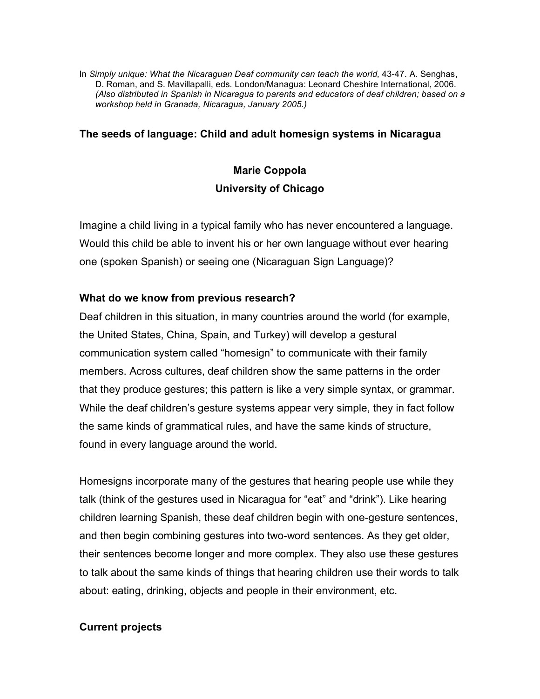In *Simply unique: What the Nicaraguan Deaf community can teach the world,* 43-47*.* A. Senghas, D. Roman, and S. Mavillapalli, eds*.* London/Managua: Leonard Cheshire International, 2006. *(Also distributed in Spanish in Nicaragua to parents and educators of deaf children; based on a workshop held in Granada, Nicaragua, January 2005.)*

### **The seeds of language: Child and adult homesign systems in Nicaragua**

# **Marie Coppola University of Chicago**

Imagine a child living in a typical family who has never encountered a language. Would this child be able to invent his or her own language without ever hearing one (spoken Spanish) or seeing one (Nicaraguan Sign Language)?

## **What do we know from previous research?**

Deaf children in this situation, in many countries around the world (for example, the United States, China, Spain, and Turkey) will develop a gestural communication system called "homesign" to communicate with their family members. Across cultures, deaf children show the same patterns in the order that they produce gestures; this pattern is like a very simple syntax, or grammar. While the deaf children's gesture systems appear very simple, they in fact follow the same kinds of grammatical rules, and have the same kinds of structure, found in every language around the world.

Homesigns incorporate many of the gestures that hearing people use while they talk (think of the gestures used in Nicaragua for "eat" and "drink"). Like hearing children learning Spanish, these deaf children begin with one-gesture sentences, and then begin combining gestures into two-word sentences. As they get older, their sentences become longer and more complex. They also use these gestures to talk about the same kinds of things that hearing children use their words to talk about: eating, drinking, objects and people in their environment, etc.

### **Current projects**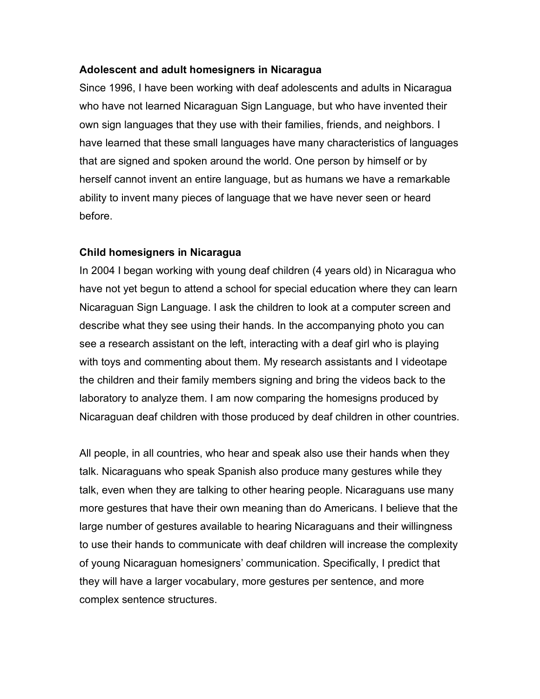### **Adolescent and adult homesigners in Nicaragua**

Since 1996, I have been working with deaf adolescents and adults in Nicaragua who have not learned Nicaraguan Sign Language, but who have invented their own sign languages that they use with their families, friends, and neighbors. I have learned that these small languages have many characteristics of languages that are signed and spoken around the world. One person by himself or by herself cannot invent an entire language, but as humans we have a remarkable ability to invent many pieces of language that we have never seen or heard before.

## **Child homesigners in Nicaragua**

In 2004 I began working with young deaf children (4 years old) in Nicaragua who have not yet begun to attend a school for special education where they can learn Nicaraguan Sign Language. I ask the children to look at a computer screen and describe what they see using their hands. In the accompanying photo you can see a research assistant on the left, interacting with a deaf girl who is playing with toys and commenting about them. My research assistants and I videotape the children and their family members signing and bring the videos back to the laboratory to analyze them. I am now comparing the homesigns produced by Nicaraguan deaf children with those produced by deaf children in other countries.

All people, in all countries, who hear and speak also use their hands when they talk. Nicaraguans who speak Spanish also produce many gestures while they talk, even when they are talking to other hearing people. Nicaraguans use many more gestures that have their own meaning than do Americans. I believe that the large number of gestures available to hearing Nicaraguans and their willingness to use their hands to communicate with deaf children will increase the complexity of young Nicaraguan homesigners' communication. Specifically, I predict that they will have a larger vocabulary, more gestures per sentence, and more complex sentence structures.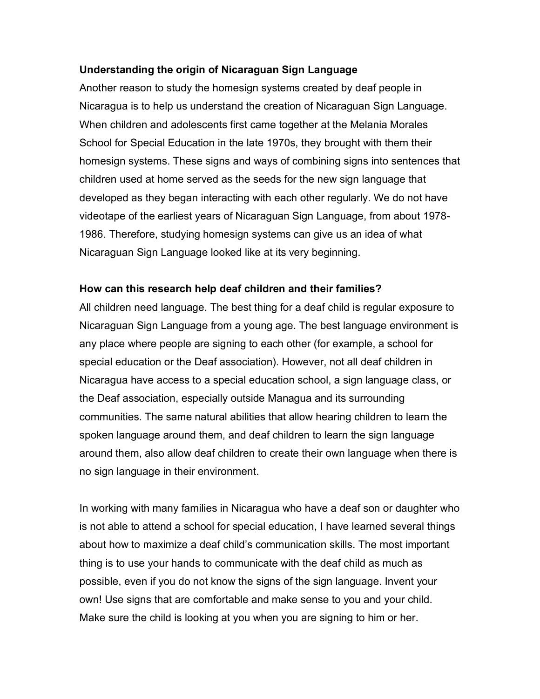### **Understanding the origin of Nicaraguan Sign Language**

Another reason to study the homesign systems created by deaf people in Nicaragua is to help us understand the creation of Nicaraguan Sign Language. When children and adolescents first came together at the Melania Morales School for Special Education in the late 1970s, they brought with them their homesign systems. These signs and ways of combining signs into sentences that children used at home served as the seeds for the new sign language that developed as they began interacting with each other regularly. We do not have videotape of the earliest years of Nicaraguan Sign Language, from about 1978- 1986. Therefore, studying homesign systems can give us an idea of what Nicaraguan Sign Language looked like at its very beginning.

#### **How can this research help deaf children and their families?**

All children need language. The best thing for a deaf child is regular exposure to Nicaraguan Sign Language from a young age. The best language environment is any place where people are signing to each other (for example, a school for special education or the Deaf association). However, not all deaf children in Nicaragua have access to a special education school, a sign language class, or the Deaf association, especially outside Managua and its surrounding communities. The same natural abilities that allow hearing children to learn the spoken language around them, and deaf children to learn the sign language around them, also allow deaf children to create their own language when there is no sign language in their environment.

In working with many families in Nicaragua who have a deaf son or daughter who is not able to attend a school for special education, I have learned several things about how to maximize a deaf child's communication skills. The most important thing is to use your hands to communicate with the deaf child as much as possible, even if you do not know the signs of the sign language. Invent your own! Use signs that are comfortable and make sense to you and your child. Make sure the child is looking at you when you are signing to him or her.